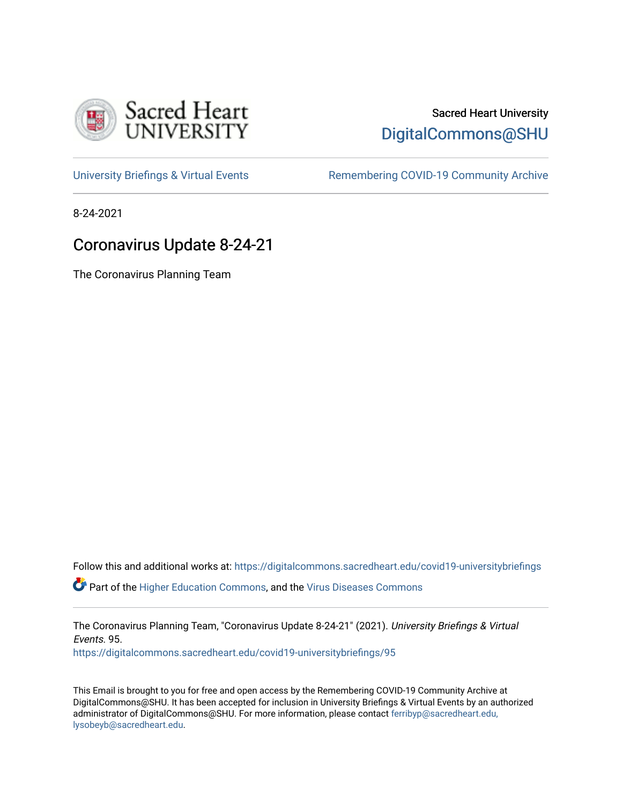

## Sacred Heart University [DigitalCommons@SHU](https://digitalcommons.sacredheart.edu/)

[University Briefings & Virtual Events](https://digitalcommons.sacredheart.edu/covid19-universitybriefings) **Remembering COVID-19 Community Archive** 

8-24-2021

# Coronavirus Update 8-24-21

The Coronavirus Planning Team

Follow this and additional works at: [https://digitalcommons.sacredheart.edu/covid19-universitybriefings](https://digitalcommons.sacredheart.edu/covid19-universitybriefings?utm_source=digitalcommons.sacredheart.edu%2Fcovid19-universitybriefings%2F95&utm_medium=PDF&utm_campaign=PDFCoverPages)

**C** Part of the [Higher Education Commons,](http://network.bepress.com/hgg/discipline/1245?utm_source=digitalcommons.sacredheart.edu%2Fcovid19-universitybriefings%2F95&utm_medium=PDF&utm_campaign=PDFCoverPages) and the [Virus Diseases Commons](http://network.bepress.com/hgg/discipline/998?utm_source=digitalcommons.sacredheart.edu%2Fcovid19-universitybriefings%2F95&utm_medium=PDF&utm_campaign=PDFCoverPages)

The Coronavirus Planning Team, "Coronavirus Update 8-24-21" (2021). University Briefings & Virtual Events. 95.

[https://digitalcommons.sacredheart.edu/covid19-universitybriefings/95](https://digitalcommons.sacredheart.edu/covid19-universitybriefings/95?utm_source=digitalcommons.sacredheart.edu%2Fcovid19-universitybriefings%2F95&utm_medium=PDF&utm_campaign=PDFCoverPages) 

This Email is brought to you for free and open access by the Remembering COVID-19 Community Archive at DigitalCommons@SHU. It has been accepted for inclusion in University Briefings & Virtual Events by an authorized administrator of DigitalCommons@SHU. For more information, please contact [ferribyp@sacredheart.edu,](mailto:ferribyp@sacredheart.edu,%20lysobeyb@sacredheart.edu) [lysobeyb@sacredheart.edu](mailto:ferribyp@sacredheart.edu,%20lysobeyb@sacredheart.edu).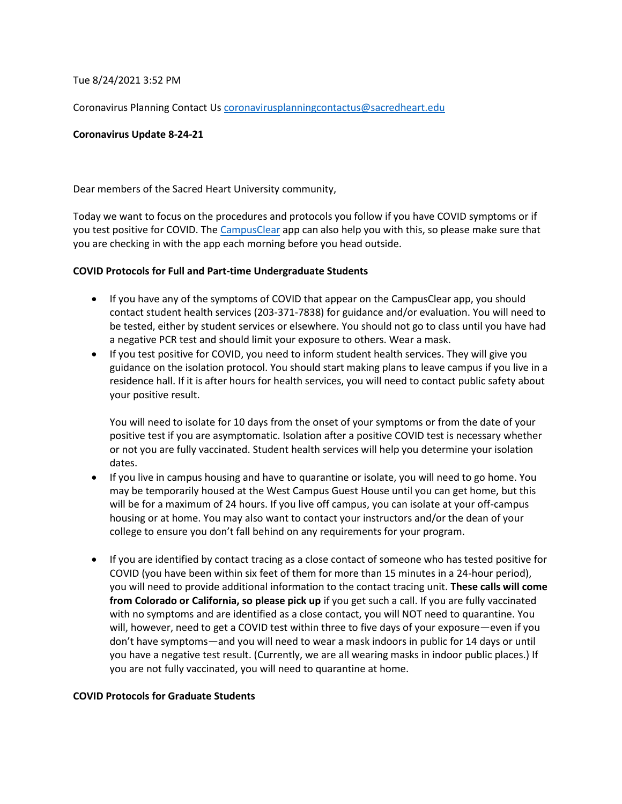Tue 8/24/2021 3:52 PM

Coronavirus Planning Contact Us [coronavirusplanningcontactus@sacredheart.edu](mailto:coronavirusplanningcontactus@sacredheart.edu)

#### **Coronavirus Update 8-24-21**

Dear members of the Sacred Heart University community,

Today we want to focus on the procedures and protocols you follow if you have COVID symptoms or if you test positive for COVID. The [CampusClear](https://apps.apple.com/app/campusclear/id1516163872?l) app can also help you with this, so please make sure that you are checking in with the app each morning before you head outside.

#### **COVID Protocols for Full and Part-time Undergraduate Students**

- If you have any of the symptoms of COVID that appear on the CampusClear app, you should contact student health services (203-371-7838) for guidance and/or evaluation. You will need to be tested, either by student services or elsewhere. You should not go to class until you have had a negative PCR test and should limit your exposure to others. Wear a mask.
- If you test positive for COVID, you need to inform student health services. They will give you guidance on the isolation protocol. You should start making plans to leave campus if you live in a residence hall. If it is after hours for health services, you will need to contact public safety about your positive result.

You will need to isolate for 10 days from the onset of your symptoms or from the date of your positive test if you are asymptomatic. Isolation after a positive COVID test is necessary whether or not you are fully vaccinated. Student health services will help you determine your isolation dates.

- If you live in campus housing and have to quarantine or isolate, you will need to go home. You may be temporarily housed at the West Campus Guest House until you can get home, but this will be for a maximum of 24 hours. If you live off campus, you can isolate at your off-campus housing or at home. You may also want to contact your instructors and/or the dean of your college to ensure you don't fall behind on any requirements for your program.
- If you are identified by contact tracing as a close contact of someone who has tested positive for COVID (you have been within six feet of them for more than 15 minutes in a 24-hour period), you will need to provide additional information to the contact tracing unit. **These calls will come from Colorado or California, so please pick up** if you get such a call. If you are fully vaccinated with no symptoms and are identified as a close contact, you will NOT need to quarantine. You will, however, need to get a COVID test within three to five days of your exposure—even if you don't have symptoms—and you will need to wear a mask indoors in public for 14 days or until you have a negative test result. (Currently, we are all wearing masks in indoor public places.) If you are not fully vaccinated, you will need to quarantine at home.

#### **COVID Protocols for Graduate Students**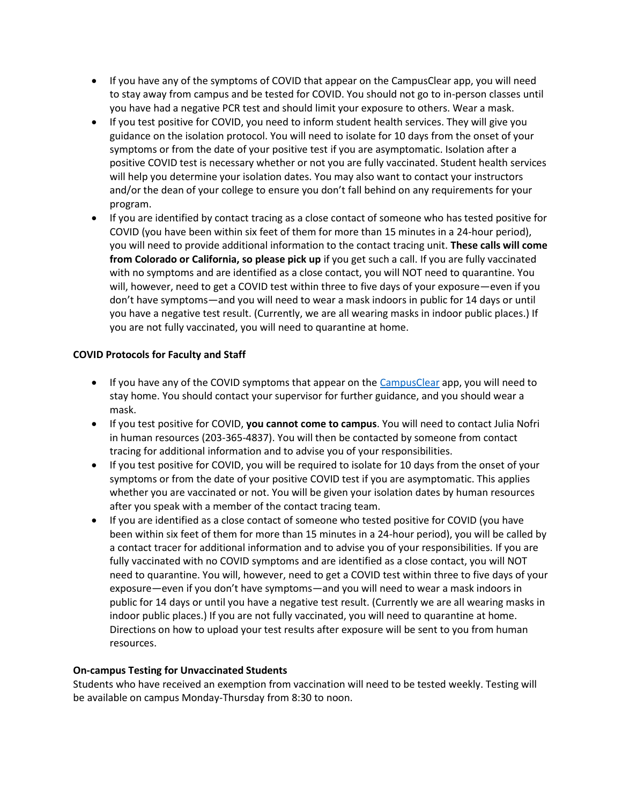- If you have any of the symptoms of COVID that appear on the CampusClear app, you will need to stay away from campus and be tested for COVID. You should not go to in-person classes until you have had a negative PCR test and should limit your exposure to others. Wear a mask.
- If you test positive for COVID, you need to inform student health services. They will give you guidance on the isolation protocol. You will need to isolate for 10 days from the onset of your symptoms or from the date of your positive test if you are asymptomatic. Isolation after a positive COVID test is necessary whether or not you are fully vaccinated. Student health services will help you determine your isolation dates. You may also want to contact your instructors and/or the dean of your college to ensure you don't fall behind on any requirements for your program.
- If you are identified by contact tracing as a close contact of someone who has tested positive for COVID (you have been within six feet of them for more than 15 minutes in a 24-hour period), you will need to provide additional information to the contact tracing unit. **These calls will come from Colorado or California, so please pick up** if you get such a call. If you are fully vaccinated with no symptoms and are identified as a close contact, you will NOT need to quarantine. You will, however, need to get a COVID test within three to five days of your exposure—even if you don't have symptoms—and you will need to wear a mask indoors in public for 14 days or until you have a negative test result. (Currently, we are all wearing masks in indoor public places.) If you are not fully vaccinated, you will need to quarantine at home.

### **COVID Protocols for Faculty and Staff**

- If you have any of the COVID symptoms that appear on the [CampusClear](https://apps.apple.com/app/campusclear/id1516163872?l) app, you will need to stay home. You should contact your supervisor for further guidance, and you should wear a mask.
- If you test positive for COVID, **you cannot come to campus**. You will need to contact Julia Nofri in human resources (203-365-4837). You will then be contacted by someone from contact tracing for additional information and to advise you of your responsibilities.
- If you test positive for COVID, you will be required to isolate for 10 days from the onset of your symptoms or from the date of your positive COVID test if you are asymptomatic. This applies whether you are vaccinated or not. You will be given your isolation dates by human resources after you speak with a member of the contact tracing team.
- If you are identified as a close contact of someone who tested positive for COVID (you have been within six feet of them for more than 15 minutes in a 24-hour period), you will be called by a contact tracer for additional information and to advise you of your responsibilities. If you are fully vaccinated with no COVID symptoms and are identified as a close contact, you will NOT need to quarantine. You will, however, need to get a COVID test within three to five days of your exposure—even if you don't have symptoms—and you will need to wear a mask indoors in public for 14 days or until you have a negative test result. (Currently we are all wearing masks in indoor public places.) If you are not fully vaccinated, you will need to quarantine at home. Directions on how to upload your test results after exposure will be sent to you from human resources.

### **On-campus Testing for Unvaccinated Students**

Students who have received an exemption from vaccination will need to be tested weekly. Testing will be available on campus Monday-Thursday from 8:30 to noon.